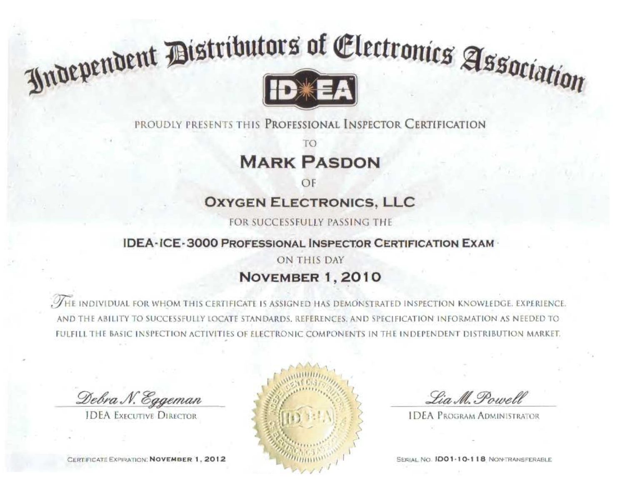

### PROUDLY PRESENTS THIS PROFESSIONAL INSPECTOR CERTIFICATION

## **MARK PASDON**

### **OXYGEN ELECTRONICS, LLC**

FOR SUCCESSFULLY PASSING THE

#### **IDEA-ICE-3000 PROFESSIONAL INSPECTOR CERTIFICATION EXAM-**

### ON THIS DAY **NOVEMBER 1, 2010**

. THE INDIVIDUAL FOR WHOM THIS CERTIFICATE IS ASSIGNED HAS DEMONSTRATED INSPECTION KNOWLEDGE. EXPERIENCE, AND THE ABILITY TO SUCCESSFULLY LOCATE STANDARDS. REFERENCES, AND SPECIFICATION INFORMATION AS NEEDED TO FULFILL THE BASIC INSPECTION ACTIVITIES OF ELECTRONIC COMPONENTS IN THE INDEPENDENT DISTRIBUTION MARKET.

Debra N. Eggeman

**IDEA EXECUTIVE DIRECTOR** 





Lia M. Powell

**IDEA PROGRAM ADMINISTRATOR** 

SERIAL NO. IDO1-10-118 NON-TRANSFERABLE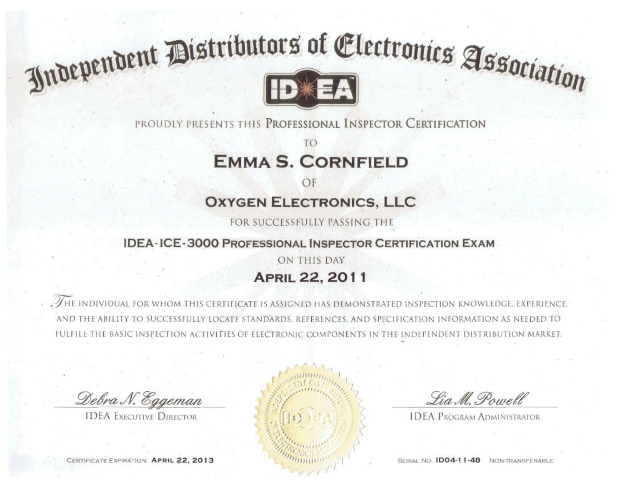

PROUDLY PRESENTS THIS PROFESSIONAL INSPECTOR CERTIFICATION

**EMMA S. CORNFIELD** 

## **OXYGEN ELECTRONICS, LLC**

FOR SUCCESSFULLY PASSING THE

#### **IDEA-ICE-3000 PROFESSIONAL INSPECTOR CERTIFICATION EXAM**

### ON THIS DAY **APRIL 22, 2011**

. THE INDIVIDUAL FOR WHOM THIS CERTIFICATE IS ASSIGNED HAS DEMONSTRATED INSPECTION KNOWLED AND THE ABILITY TO SUCCESSFULLY LOCATE STANDARDS. REFERENCES, AND SPECIFICATION INFOR AS NEEDED TO FULFILE THE BASIC INSPECTION ACTIVITIES OF ELECTRONIC COMPONENTS IN THE INDEPENDENT DISTRIBUTION MARKET.

Debra N. Eggeman

**IDEA EXECUTIVE DIRECTOR** 

CERTIFICATE EXPIRATION: APRIL 22, 2013



Lia M. Powell

**IDEA PROGRAM ADMINISTRATOR** 

SERIAL NO. ID04-11-48 NON-TRANSFERABLE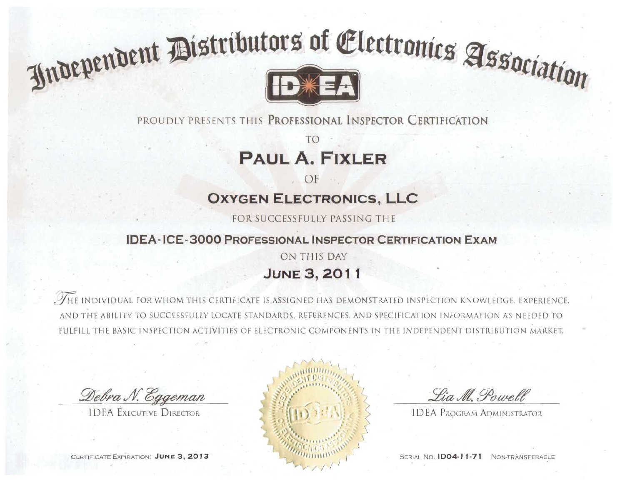PROUDLY PRESENTS THIS PROFESSIONAL INSPECTOR CERTIFICATION

## **PAUL A. FIXLER**

OF

## **OXYGEN ELECTRONICS, LLC**

FOR SUCCESSFULLY PASSING THE

#### **IDEA-ICE-3000 PROFESSIONAL INSPECTOR CERTIFICATION EXAM**

ON THIS DAY **JUNE 3, 2011** 

. THE INDIVIDUAL FOR WHOM THIS CERTIFICATE IS ASSIGNED HAS DEMONSTRATED INSPECTION KNOWLEDGE, EXPERIENCE ITY TO SUCCESSFULLY LOCATE STANDARDS. REFERENCES, AND SPECIFICATION INFORMATION AS NEEDED TO IE BASIC INSPECTION ACTIVITIES OF ELECTRONIC COMPONENTS IN THE INDEPENDENT DISTRIBUTION MARKET.

Debra N. Eggeman

**IDEA EXECUTIVE DIRECTOR** 

CERTIFICATE EXPIRATION: JUNE 3, 2013



Lia M. Powell

**IDEA PROGRAM ADMINISTRATOR** 

**SERIAL NO. 1D04-11-71** NON-TRANSFERABLE